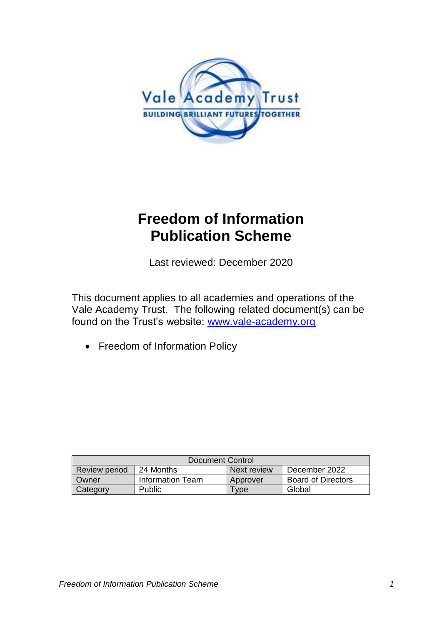

# **Freedom of Information Publication Scheme**

Last reviewed: December 2020

This document applies to all academies and operations of the Vale Academy Trust. The following related document(s) can be found on the Trust's website: [www.vale-academy.org](http://www.vale-academy.org/)

• Freedom of Information Policy

| Document Control |                  |             |                           |  |  |
|------------------|------------------|-------------|---------------------------|--|--|
| Review period    | 24 Months        | Next review | December 2022             |  |  |
| Owner            | Information Team | Approver    | <b>Board of Directors</b> |  |  |
| Category         | Public           | vpe         | Global                    |  |  |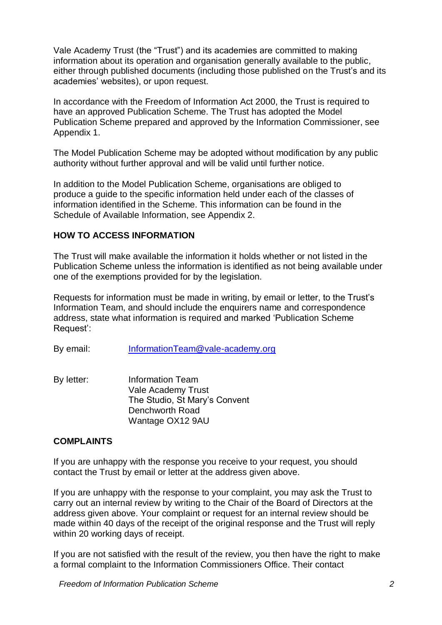Vale Academy Trust (the "Trust") and its academies are committed to making information about its operation and organisation generally available to the public, either through published documents (including those published on the Trust's and its academies' websites), or upon request.

In accordance with the Freedom of Information Act 2000, the Trust is required to have an approved Publication Scheme. The Trust has adopted the Model Publication Scheme prepared and approved by the Information Commissioner, see Appendix 1.

The Model Publication Scheme may be adopted without modification by any public authority without further approval and will be valid until further notice.

In addition to the Model Publication Scheme, organisations are obliged to produce a guide to the specific information held under each of the classes of information identified in the Scheme. This information can be found in the Schedule of Available Information, see Appendix 2.

#### **HOW TO ACCESS INFORMATION**

The Trust will make available the information it holds whether or not listed in the Publication Scheme unless the information is identified as not being available under one of the exemptions provided for by the legislation.

Requests for information must be made in writing, by email or letter, to the Trust's Information Team, and should include the enquirers name and correspondence address, state what information is required and marked 'Publication Scheme Request':

By email: [InformationTeam@vale-academy.org](mailto:InformationTeam@vale-academy.org)

By letter: Information Team Vale Academy Trust The Studio, St Mary's Convent Denchworth Road Wantage OX12 9AU

## **COMPLAINTS**

If you are unhappy with the response you receive to your request, you should contact the Trust by email or letter at the address given above.

If you are unhappy with the response to your complaint, you may ask the Trust to carry out an internal review by writing to the Chair of the Board of Directors at the address given above. Your complaint or request for an internal review should be made within 40 days of the receipt of the original response and the Trust will reply within 20 working days of receipt.

If you are not satisfied with the result of the review, you then have the right to make a formal complaint to the Information Commissioners Office. Their contact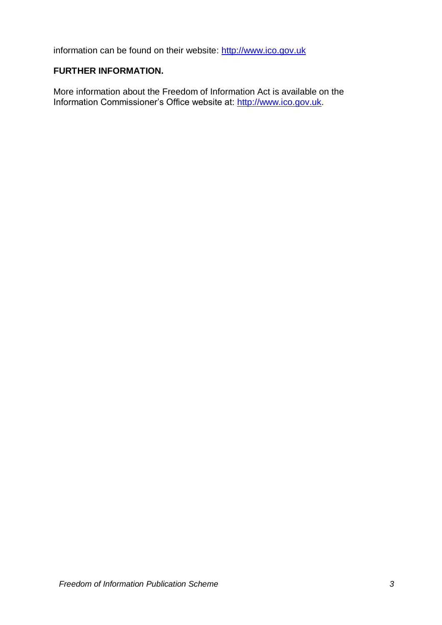information can be found on their website: [http://www.ico.gov.uk](http://www.ico.gov.uk/)

## **FURTHER INFORMATION.**

More information about the Freedom of Information Act is available on the Information Commissioner's Office website at: [http://www.ico.gov.uk.](http://www.ico.gov.uk/)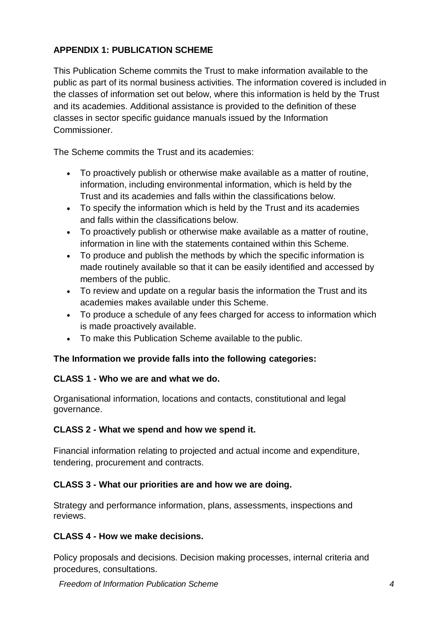## **APPENDIX 1: PUBLICATION SCHEME**

This Publication Scheme commits the Trust to make information available to the public as part of its normal business activities. The information covered is included in the classes of information set out below, where this information is held by the Trust and its academies. Additional assistance is provided to the definition of these classes in sector specific guidance manuals issued by the Information Commissioner.

The Scheme commits the Trust and its academies:

- To proactively publish or otherwise make available as a matter of routine, information, including environmental information, which is held by the Trust and its academies and falls within the classifications below.
- To specify the information which is held by the Trust and its academies and falls within the classifications below.
- To proactively publish or otherwise make available as a matter of routine, information in line with the statements contained within this Scheme.
- To produce and publish the methods by which the specific information is made routinely available so that it can be easily identified and accessed by members of the public.
- To review and update on a regular basis the information the Trust and its academies makes available under this Scheme.
- To produce a schedule of any fees charged for access to information which is made proactively available.
- To make this Publication Scheme available to the public.

## **The Information we provide falls into the following categories:**

#### **CLASS 1 - Who we are and what we do.**

Organisational information, locations and contacts, constitutional and legal governance.

#### **CLASS 2 - What we spend and how we spend it.**

Financial information relating to projected and actual income and expenditure, tendering, procurement and contracts.

#### **CLASS 3 - What our priorities are and how we are doing.**

Strategy and performance information, plans, assessments, inspections and reviews.

#### **CLASS 4 - How we make decisions.**

Policy proposals and decisions. Decision making processes, internal criteria and procedures, consultations.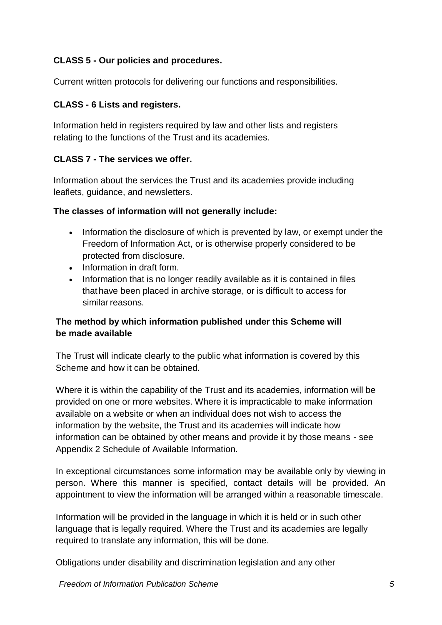## **CLASS 5 - Our policies and procedures.**

Current written protocols for delivering our functions and responsibilities.

## **CLASS - 6 Lists and registers.**

Information held in registers required by law and other lists and registers relating to the functions of the Trust and its academies.

## **CLASS 7 - The services we offer.**

Information about the services the Trust and its academies provide including leaflets, guidance, and newsletters.

## **The classes of information will not generally include:**

- Information the disclosure of which is prevented by law, or exempt under the Freedom of Information Act, or is otherwise properly considered to be protected from disclosure.
- Information in draft form.
- Information that is no longer readily available as it is contained in files that have been placed in archive storage, or is difficult to access for similar reasons.

## **The method by which information published under this Scheme will be made available**

The Trust will indicate clearly to the public what information is covered by this Scheme and how it can be obtained.

Where it is within the capability of the Trust and its academies, information will be provided on one or more websites. Where it is impracticable to make information available on a website or when an individual does not wish to access the information by the website, the Trust and its academies will indicate how information can be obtained by other means and provide it by those means - see Appendix 2 Schedule of Available Information.

In exceptional circumstances some information may be available only by viewing in person. Where this manner is specified, contact details will be provided. An appointment to view the information will be arranged within a reasonable timescale.

Information will be provided in the language in which it is held or in such other language that is legally required. Where the Trust and its academies are legally required to translate any information, this will be done.

Obligations under disability and discrimination legislation and any other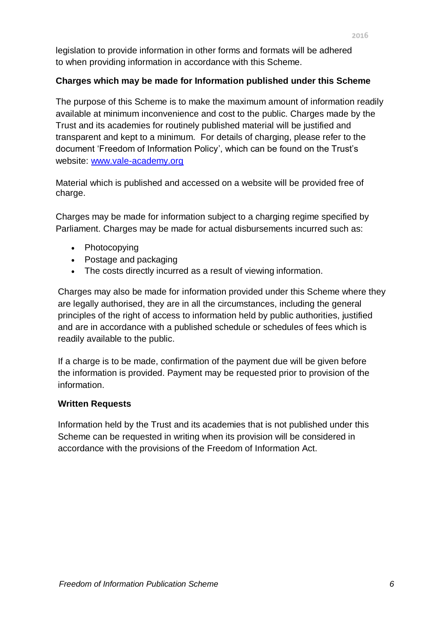legislation to provide information in other forms and formats will be adhered to when providing information in accordance with this Scheme.

## **Charges which may be made for Information published under this Scheme**

The purpose of this Scheme is to make the maximum amount of information readily available at minimum inconvenience and cost to the public. Charges made by the Trust and its academies for routinely published material will be justified and transparent and kept to a minimum. For details of charging, please refer to the document 'Freedom of Information Policy', which can be found on the Trust's website: [www.vale-academy.org](http://www.vale-academy.org/)

Material which is published and accessed on a website will be provided free of charge.

Charges may be made for information subject to a charging regime specified by Parliament. Charges may be made for actual disbursements incurred such as:

- Photocopying
- Postage and packaging
- The costs directly incurred as a result of viewing information.

Charges may also be made for information provided under this Scheme where they are legally authorised, they are in all the circumstances, including the general principles of the right of access to information held by public authorities, justified and are in accordance with a published schedule or schedules of fees which is readily available to the public.

If a charge is to be made, confirmation of the payment due will be given before the information is provided. Payment may be requested prior to provision of the information.

## **Written Requests**

Information held by the Trust and its academies that is not published under this Scheme can be requested in writing when its provision will be considered in accordance with the provisions of the Freedom of Information Act.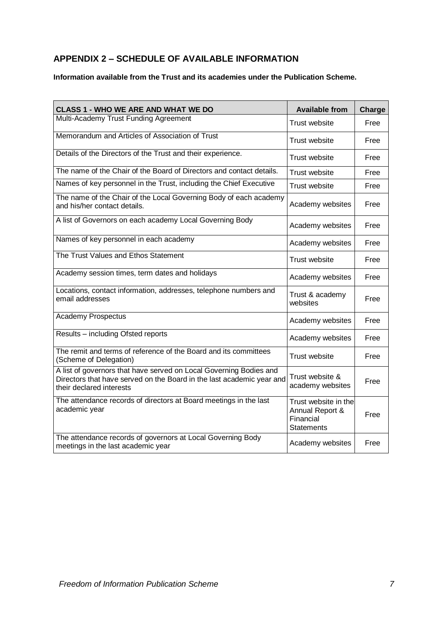## **APPENDIX 2 – SCHEDULE OF AVAILABLE INFORMATION**

**Information available from the Trust and its academies under the Publication Scheme.**

| <b>CLASS 1 - WHO WE ARE AND WHAT WE DO</b>                                                                                                                              | <b>Available from</b>                                                     | <b>Charge</b> |
|-------------------------------------------------------------------------------------------------------------------------------------------------------------------------|---------------------------------------------------------------------------|---------------|
| Multi-Academy Trust Funding Agreement                                                                                                                                   | <b>Trust website</b>                                                      | Free          |
| Memorandum and Articles of Association of Trust                                                                                                                         | <b>Trust website</b>                                                      | Free          |
| Details of the Directors of the Trust and their experience.                                                                                                             | Trust website                                                             | Free          |
| The name of the Chair of the Board of Directors and contact details.                                                                                                    | <b>Trust website</b>                                                      | Free          |
| Names of key personnel in the Trust, including the Chief Executive                                                                                                      | Trust website                                                             | Free          |
| The name of the Chair of the Local Governing Body of each academy<br>and his/her contact details.                                                                       | Academy websites                                                          | Free          |
| A list of Governors on each academy Local Governing Body                                                                                                                | Academy websites                                                          | Free          |
| Names of key personnel in each academy                                                                                                                                  | Academy websites                                                          | Free          |
| The Trust Values and Ethos Statement                                                                                                                                    | Trust website                                                             | Free          |
| Academy session times, term dates and holidays                                                                                                                          | Academy websites                                                          | Free          |
| Locations, contact information, addresses, telephone numbers and<br>email addresses                                                                                     | Trust & academy<br>websites                                               | Free          |
| <b>Academy Prospectus</b>                                                                                                                                               | Academy websites                                                          | Free          |
| Results - including Ofsted reports                                                                                                                                      | Academy websites                                                          | Free          |
| The remit and terms of reference of the Board and its committees<br>(Scheme of Delegation)                                                                              | Trust website                                                             | Free          |
| A list of governors that have served on Local Governing Bodies and<br>Directors that have served on the Board in the last academic year and<br>their declared interests | Trust website &<br>academy websites                                       | Free          |
| The attendance records of directors at Board meetings in the last<br>academic year                                                                                      | Trust website in the<br>Annual Report &<br>Financial<br><b>Statements</b> | Free          |
| The attendance records of governors at Local Governing Body<br>meetings in the last academic year                                                                       | Academy websites                                                          | Free          |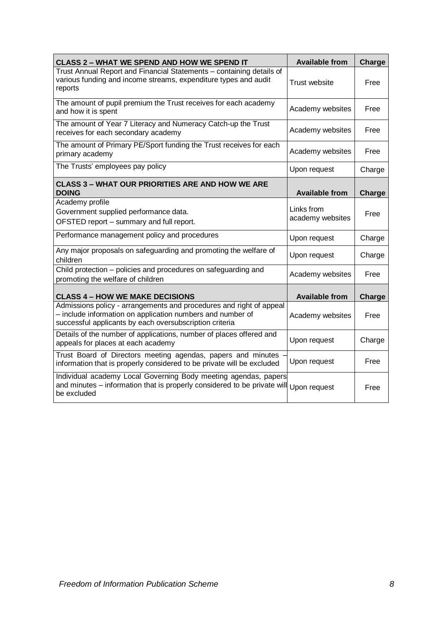| <b>CLASS 2 - WHAT WE SPEND AND HOW WE SPEND IT</b>                                                                                                                                           | <b>Available from</b>          | Charge        |
|----------------------------------------------------------------------------------------------------------------------------------------------------------------------------------------------|--------------------------------|---------------|
| Trust Annual Report and Financial Statements - containing details of<br>various funding and income streams, expenditure types and audit<br>reports                                           | Trust website                  | Free          |
| The amount of pupil premium the Trust receives for each academy<br>and how it is spent                                                                                                       | Academy websites               | Free          |
| The amount of Year 7 Literacy and Numeracy Catch-up the Trust<br>receives for each secondary academy                                                                                         | Academy websites               | Free          |
| The amount of Primary PE/Sport funding the Trust receives for each<br>primary academy                                                                                                        | Academy websites               | Free          |
| The Trusts' employees pay policy                                                                                                                                                             | Upon request                   | Charge        |
| <b>CLASS 3 - WHAT OUR PRIORITIES ARE AND HOW WE ARE</b><br><b>DOING</b>                                                                                                                      | <b>Available from</b>          | Charge        |
| Academy profile                                                                                                                                                                              |                                |               |
| Government supplied performance data.                                                                                                                                                        | Links from<br>academy websites | Free          |
| OFSTED report - summary and full report.                                                                                                                                                     |                                |               |
| Performance management policy and procedures                                                                                                                                                 | Upon request                   | Charge        |
| Any major proposals on safeguarding and promoting the welfare of<br>children                                                                                                                 | Upon request                   | Charge        |
| Child protection - policies and procedures on safeguarding and<br>promoting the welfare of children                                                                                          | Academy websites               | Free          |
| <b>CLASS 4 - HOW WE MAKE DECISIONS</b>                                                                                                                                                       | <b>Available from</b>          | <b>Charge</b> |
| Admissions policy - arrangements and procedures and right of appeal<br>- include information on application numbers and number of<br>successful applicants by each oversubscription criteria | Academy websites               | Free          |
| Details of the number of applications, number of places offered and<br>appeals for places at each academy                                                                                    | Upon request                   | Charge        |
| Trust Board of Directors meeting agendas, papers and minutes<br>information that is properly considered to be private will be excluded                                                       | Upon request                   | Free          |
| Individual academy Local Governing Body meeting agendas, papers<br>and minutes - information that is properly considered to be private will<br>be excluded                                   | Upon request                   | Free          |